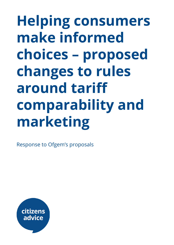# **Helping consumers make informed choices – proposed changes to rules around tari comparability and marketing**

Response to Ofgem's proposals

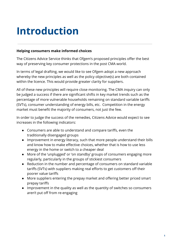## **Introduction**

#### **Helping consumers make informed choices**

The Citizens Advice Service thinks that Ofgem's proposed principles offer the best way of preserving key consumer protections in the post CMA world.

In terms of legal drafting, we would like to see Ofgem adopt a new approach whereby the new principles as well as the policy objective(s) are both contained within the licence. This would provide greater clarity for suppliers.

All of these new principles will require close monitoring. The CMA inquiry can only be judged a success if there are significant shifts in key market trends such as the percentage of more vulnerable households remaining on standard variable tariffs (SVTs), consumer understanding of energy bills, etc. Competition in the energy market must benefit the majority of consumers, not just the few.

In order to judge the success of the remedies, Citizens Advice would expect to see increases in the following indicators:

- Consumers are able to understand and compare tariffs, even the traditionally disengaged groups
- Improvement in energy literacy, such that more people understand their bills and know how to make effective choices, whether that is how to use less energy in the home or switch to a cheaper deal
- **●** More of the 'unplugged' or 'on standby' groups of consumers engaging more regularly, particularly in the groups of stickiest consumers
- Reduction in the number and percentage of consumers on standard variable tariffs (SVTs) with suppliers making real efforts to get customers off their poorer value tariffs
- More suppliers entering the prepay market and offering better priced smart prepay tariffs
- Improvement in the quality as well as the quantity of switches so consumers aren't put off from re-engaging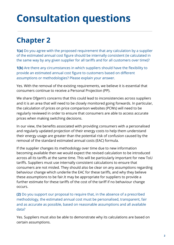## **Consultation questions**

## **Chapter 2**

**1(a)** Do you agree with the proposed requirement that any calculation by a supplier of the estimated annual cost figure should be internally consistent (ie calculated in the same way by any given supplier for all tariffs and for all customers over time)?

**1(b)** Are there any circumstances in which suppliers should have the flexibility to provide an estimated annual cost figure to customers based on different assumptions or methodologies? Please explain your answer.

Yes. With the removal of the existing requirements, we believe it is essential that consumers continue to receive a Personal Projection (PP).

We share Ofgem's concerns that this could lead to inconsistencies across suppliers and it is an area that will need to be closely monitored going forwards. In particular, the calculation of prices on price comparison websites (PCWs) will need to be regularly reviewed in order to ensure that consumers are able to access accurate prices when making switching decisions.

In our view, the benefits associated with providing consumers with a personalised and regularly updated projection of their energy costs to help them understand their energy usage are greater than the potential risk of confusion caused by the removal of the standard estimated annual costs (EAC) formula.

If the supplier changes its methodology over time due to new information becoming available then we would expect the revised calculation to be introduced across all its tariffs at the same time. This will be particularly important for new ToU tariffs. Suppliers must use internally consistent calculations to ensure that consumers are not misled. They should also be clear on any assumptions regarding behaviour change which underlie the EAC for these tariffs, and why they believe these assumptions to be fair.It may be appropriate for suppliers to provide a further estimate for these tariffs of the cost of the tariff if no behaviour change occurs.

**(2)** Do you support our proposal to require that, in the absence of a prescribed methodology, the estimated annual cost must be personalised, transparent, fair and as accurate as possible, based on reasonable assumptions and all available data?

Yes. Suppliers must also be able to demonstrate why its calculations are based on certain assumptions.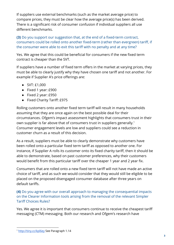If suppliers use external benchmarks (such as the market average price) to compare prices, they must be clear how the average price(s) has been derived. There is a significant risk of consumer confusion if individual suppliers all use different benchmarks.

**(3)** Do you support our suggestion that, at the end of a fixed-term contract, consumers could be rolled onto another fixed-term (rather than evergreen) tariff, if the consumer were able to exit this tariff with no penalty and at any time?

Yes. We agree that this could be beneficial for consumers if the new fixed term contract is cheaper than the SVT.

If suppliers have a number of fixed term offers in the market at varying prices, they must be able to clearly justify why they have chosen one tariff and not another. For example if Supplier A's price offerings are:

- SVT: £1,000
- Fixed 1 year: £900
- Fixed 2 year: £950
- Fixed Charity Tariff: £975

Rolling customers onto another fixed term tariff will result in many households assuming that they are once again on the best possible deal for their circumstances. Ofgem's impact assessment highlights that consumers trust in their own supplier is far above that of consumers trust in suppliers generally. 1 Consumer engagement levels are low and suppliers could see a reduction in customer churn as a result of this decision.

As a result, suppliers must be able to clearly demonstrate why customers have been rolled onto a particular fixed term tariff as opposed to another one. For instance, if Supplier A rolls its customer onto its fixed charity tariff, then it should be able to demonstrate, based on past customer preferences, why their customers would benefit from this particular tariff over the cheaper 1 year and 2 year fix.

Consumers that are rolled onto a new fixed term tariff will not have made an active choice of tariff, and as such we would consider that they would still be eligible to be placed on the proposed disengaged consumer database after three years on default tariffs.

**(4)** Do you agree with our overall approach to managing the consequential impacts on the Clearer Information tools arising from the removal of the relevant Simpler Tariff Choices Rules?

Yes. We agree it is important that consumers continue to receive the cheapest tari messaging (CTM) messaging. Both our research and Ofgem's research have

<sup>1</sup> <http://tiny.cc/kpl6ey> See Paragraph 1.14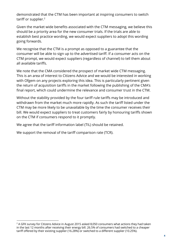demonstrated that the CTM has been important at inspiring consumers to switch tariff or supplier. $2$ 

Given the market wide benefits associated with the CTM messaging, we believe this should be a priority area for the new consumer trials. If the trials are able to establish best practice wording, we would expect suppliers to adopt this wording going forwards.

We recognise that the CTM is a prompt as opposed to a guarantee that the consumer will be able to sign up to the advertised tariff. If a consumer acts on the CTM prompt, we would expect suppliers (regardless of channel) to tell them about all available tariffs.

We note that the CMA considered the prospect of market wide CTM messaging. This is an area of interest to Citizens Advice and we would be interested in working with Ofgem on any projects exploring this idea. This is particularly pertinent given the return of acquisition tariffs in the market following the publishing of the CMA's final report, which could undermine the relevance and consumer trust in the CTM.

Without the stability provided by the four tariff rule tariffs may be introduced and withdrawn from the market much more rapidly. As such the tariff listed under the CTM may be more likely to be unavailable by the time the consumer receives their bill. We would expect suppliers to treat customers fairly by honouring tariffs shown on the CTM if consumers respond to it promptly.

We agree that the tariff information label (TIL) should be retained.

We support the removal of the tariff comparison rate (TCR).

<sup>&</sup>lt;sup>2</sup> A GFK survey for Citizens Advice in August 2015 asked 8,050 consumers what actions they had taken in the last 12 months after receiving their energy bill. 26.5% of consumers had switched to a cheaper tariff offered by their existing supplier (16.28%) or switched to a different supplier (10.25%).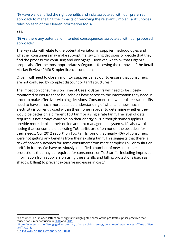**(5)** Have we identified the right benefits and risks associated with our preferred approach to managing the impacts of removing the relevant Simpler Tariff Choices rules on each of the Clearer Information tools?

Yes.

#### **(6)** Are there any potential unintended consequences associated with our proposed approach?

The key risks will relate to the potential variation in supplier methodologies and whether consumers may make sub-optimal switching decisions or decide that they find the process too confusing and disengage. However, we think that Ofgem's proposals offer the most appropriate safeguards following the removal of the Retail Market Review (RMR) Simpler licence conditions.

Ofgem will need to closely monitor supplier behaviour to ensure that consumers are not confused by complex discount or tariff structures. $^3$ 

The impact on consumers on Time of Use (ToU) tariffs will need to be closely monitored to ensure these households have access to the information they need in order to make effective switching decisions. Consumers on two- or three-rate tariffs need to have a much more detailed understanding of when and how much electricity is currently used within their home in order to determine whether they would be better on a different ToU tariff or a single rate tariff. The level of detail required is not always available on their energy bills, although some suppliers provide more detail in their online account management systems. It's also worth noting that consumers on existing ToU tariffs are often not on the best deal for their needs. Our 2012 report $^4$  on ToU tariffs found that nearly 40% of consumers were not getting any benefits from their existing tariff. This suggests that there is risk of poorer outcomes for some consumers from more complex ToU or multi-tier tariffs in future. We have previously identified a number of new consumer protections that may be required for consumers on ToU tariffs, including improved information from suppliers on using these tariffs and billing protections (such as shadow billing) to prevent excessive increases in cost. 5

<sup>&</sup>lt;sup>3</sup> Consumer Focus's open letters on energy tariffs highlighted some of the pre-RMR supplier practices that caused consumer confusion in [2010](http://tinyurl.com/zghnd9b) and [2011.](http://tinyurl.com/zazhm3j)

<sup>4</sup> From Devotees to the [Disengaged:](http://webarchive.nationalarchives.gov.uk/20130728142231/http://www.consumerfutures.org.uk/files/2013/07/From-devotees-to-the-disengaged.pdf) A summary of research into energy consumers' experiences of Time of Use tariffs [\(2013\)](http://webarchive.nationalarchives.gov.uk/20130728142231/http://www.consumerfutures.org.uk/files/2013/07/From-devotees-to-the-disengaged.pdf)

<sup>5</sup> Talk a Walk on the [Demand](https://www.citizensadvice.org.uk/about-us/policy/policy-research-topics/energy-policy-research-and-consultation-responses/energy-policy-research/take-a-walk-on-the-demand-side/) Side (2014)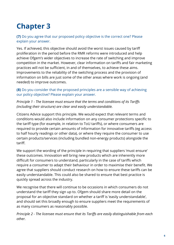## **Chapter 3**

**(7)** Do you agree that our proposed policy objective is the correct one? Please explain your answer.

Yes. If achieved, this objective should avoid the worst issues caused by tari proliferation in the period before the RMR reforms were introduced and help achieve Ofgem's wider objectives to increase the rate of switching and improve competition in the market. However, clear information on tariffs and fair marketing practices will not be sufficient, in and of themselves, to achieve these aims. Improvements to the reliability of the switching process and the provision of information on bills are just some of the other areas where work is ongoing (and needed) to improve outcomes.

**(8)** Do you consider that the proposed principles are a sensible way of achieving our policy objective? Please explain your answer.

#### *Principle 1 - The licensee must ensure that the terms and conditions of its Taris (including their structure) are clear and easily understandable.*

Citizens Advice support this principle. We would expect that relevant terms and conditions would also include information on any consumer protections specific to the tariff type (for example, in relation to ToU tariffs), or where consumers are required to provide certain amounts of information for innovative tariffs (eg access to half hourly readings or other data), or where they require the consumer to use certain products/services (including bundled non-energy products) alongside the tariff.

We support the wording of the principle in requiring that suppliers 'must ensure' these outcomes. Innovation will bring new products which are inherently more difficult for consumers to understand, particularly in the case of tariffs which require a consumer to adapt their behaviour in order to maximise their benefit. We agree that suppliers should conduct research on how to ensure these tariffs can be easily understandable. This could also be shared to ensure that best practice is quickly spread across the industry.

We recognise that there will continue to be occasions in which consumers do not understand the tariff they sign up to. Ofgem should share more detail on the proposal for an objective standard on whether a tariff is 'easily understandable', and should set this broadly enough to ensure suppliers meet the requirements of as many consumers as reasonably possible.

*Principle 2 - The licensee must ensure that its Taris are easily distinguishable from each other.*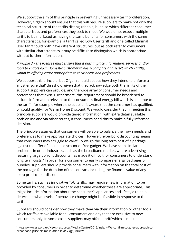We support the aim of this principle in preventing unnecessary tariff proliferation. However, Ofgem should ensure that this will require suppliers to make not only the technical structure of the tariffs distinguishable, but also which different consumer characteristics and preferences they seek to meet. We would not expect multiple tariffs to be marketed as having the same benefits for consumers with the same characteristics, for example: a tariff called Low User tariff and one called Minimal User tariff could both have different structures, but as both refer to consumers with similar characteristics it may be difficult to distinguish which is appropriate without further information.

*Principle 3 - The licensee must ensure that it puts in place information, services and/or tools to enable each Domestic Customer to easily compare and select which Tari(s) within its offering is/are appropriate to their needs and preferences.* 

We support this principle, but Ofgem should set out how they intend to enforce a 'must ensure that' threshold, given that they acknowledge both the limits of the support suppliers can provide, and the wide array of consumer needs and preferences that exist. Furthermore, this requirement should be broadened to include information relevant to the consumer's final energy bill which is separate to the tariff - for example where the supplier is aware that the consumer has qualified, or could qualify, for Warm Home Discount. We would consider that in meeting this principle suppliers would provide tiered information, with extra detail available both online and via other routes, if consumer's need this to make a fully informed decision.

The principle assumes that consumers will be able to balance their own needs and preferences to make appropriate choices. However, hyperbolic discounting means that consumers may struggle to carefully weigh the long term cost of a package against the offer of an initial discount or free gadget. We have seen similar problems in other industries, such as the broadband market, where advertising featuring large upfront discounts has made it difficult for consumers to understand long term costs.<sup>6</sup> In order for a consumer to easily compare energy packages or bundles, suppliers should provide consumers with information on the total cost of the package for the duration of the contract, including the financial value of any extra products or discounts.

Some tariffs, such as innovative ToU tariffs, may require new information to be provided by consumers in order to determine whether these are appropriate. This might include information about the consumer's appliances and lifestyle to help determine what levels of behaviour change might be feasible in response to the tariff.

Suppliers should consider how they make clear via their information or other tools which tariffs are available for all consumers and any that are exclusive to new consumers only. In some cases suppliers may offer a tariff which is most

<sup>&</sup>lt;sup>6</sup>https://www.asa.org.uk/News-resources/Media-Centre/2016/Insight-We-confirm-tougher-approach-tobroadband-price-claims-in-ads.aspx#.V-qg\_jMrKVM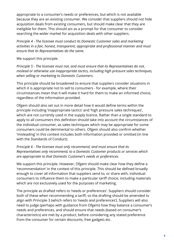appropriate to a consumer's needs or preferences, but which is not available because they are an existing consumer. We consider that suppliers should not hide acquisition deals from existing consumers, but should make clear that they are ineligible for them. This should act as a prompt for that consumer to consider searching the wider market for acquisition deals with other suppliers.

*Principle 4 - The licensee must conduct its Domestic Customer sales and marketing activities in a fair, honest, transparent, appropriate and professional manner and must ensure that its Representatives do the same.*

We support this principle.

*Principle 5 - The licensee must not, and must ensure that its Representatives do not, mislead or otherwise use inappropriate tactics, including high pressure sales techniques, when selling or marketing to Domestic Customers.*

This principle should be broadened to ensure that suppliers consider situations in which it is appropriate not to sell to consumers - for example, where their circumstances mean that it will make it hard for them to make an informed choice, regardless of the information provided.

Ofgem should also set out in more detail how it would define terms within the principle including 'inappropriate tactics' and 'high pressure sales techniques', which are not currently used in the supply licence. Rather than a single standard to apply to all consumers this definition should take into account the circumstances of the individual consumer, as sales techniques which may be appropriate for some consumers could be detrimental to others. Ofgem should also confirm whether 'misleading' in this context includes both information provided or omitted (in line with the Standards of Conduct).

*Principle 6 - The licensee must only recommend, and must ensure that its Representatives only recommend, to a Domestic Customer products or services which are appropriate to that Domestic Customer's needs or preferences.*

We support this principle. However, Ofgem should make clear how they define a 'recommendation' in the context of this principle. This should be defined broadly enough to cover all information that suppliers send to, or share with, individual consumers to influence them to make a particular tariff choice, including materials which are not exclusively used for the purposes of marketing.

The principle as drafted refers to 'needs *or* preferences'. Suppliers should consider both of these when recommending a tariff, so the drafting should be amended to align with Principle 3 (which refers to 'needs *and* preferences'). Suppliers will also need to judge (perhaps with guidance from Ofgem) how they balance a consumer's needs and preferences, and should ensure that needs (based on consumer's characteristics) are met by a product, before considering any stated preference from the consumer for certain discounts, free gadgets etc.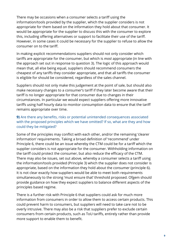There may be occasions when a consumer selects a tariff using the information/tools provided by the supplier, which the supplier considers is not appropriate for them based on the information they hold about that consumer. It would be appropriate for the supplier to discuss this with the consumer to explore this, including offering alternatives or support to facilitate their use of the tariff. However, in some cases it could be necessary for the supplier to refuse to allow the consumer on to the tariff.

In making explicit recommendations suppliers should not only consider which tariffs are appropriate for the consumer, but which is *most* appropriate (in line with the approach set out in response to question 3). The logic of this approach would mean that, all else being equal, suppliers should recommend consumers the cheapest of any tariffs they consider appropriate, and that all tariffs the consumer is eligible for should be considered, regardless of the sales channel.

Suppliers should not only make this judgement at the point of sale, but should also make necessary changes to a consumer's tariff if they later become aware that their tariff is no longer appropriate for that consumer due to changes in their circumstances. In particular we would expect suppliers offering more innovative tariffs using half hourly data to monitor consumption data to ensure that the tariff remains appropriate over time.

#### **9)** Are there any benefits, risks or potential unintended consequences associated with the proposed principles which we have omitted? If so, what are they and how could they be mitigated?

Some of the principles may conflict with each other, and/or the remaining 'clearer information' requirements. Taking a broad definition of 'recommend' under Principle 6, there could be an issue whereby the CTM could be for a tariff which the supplier considers is not appropriate for the consumer. Withholding information on the tariff could protect the consumer, but also reduce the efficacy of the CTM. There may also be issues, set out above, whereby a consumer selects a tariff using the information/tools provided (Principle 3) which the supplier does not consider is appropriate, based on the information they hold about the consumer (principle 6). It is not clear exactly how suppliers would be able to meet both requirements simultaneously to the strong 'must ensure that' threshold proposed. Ofgem should provide guidance on how they expect suppliers to balance different aspects of the principles based regime.

There is a further risk with Principle 6 that suppliers could ask for much more information from consumers in order to allow them to access certain products. This could prevent harm to consumers, but suppliers will need to take care not to be overly intrusive. There may also be a risk that suppliers prefer to exclude certain consumers from certain products, such as ToU tariffs, entirely rather than provide more support to enable them to benefit.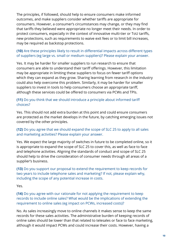The principles, if followed, should help to ensure consumers make informed outcomes, and make suppliers consider whether tariffs are appropriate for consumers. However, a consumer's circumstances may change, or they may find that tariffs they believed were appropriate no longer meet their needs. In order to protect consumers, especially in the context of innovative multi-tier or ToU tariffs, new protections, such as requirements to waive exit fees or to limit bill increases, may be required as backstop protections.

#### **(10)** Are these principles likely to result in differential impacts across different types of suppliers (eg large vs. small or medium suppliers)? Please explain your answer.

Yes. It may be harder for smaller suppliers to run research to ensure that consumers are able to understand their tariff offerings. However, this limitation may be appropriate in limiting these suppliers to focus on fewer tariff options which they can expand as they grow. Sharing learning from research in the industry could also help overcome this problem. Similarly, it may be harder for smaller suppliers to invest in tools to help consumers choose an appropriate tariff, although these services could be offered to consumers via PCWs and TPIs.

#### **(11)** Do you think that we should introduce a principle about informed tari choices?

Yes. This should not add extra burden at this point and could ensure consumers are protected as the market develops in the future, by catching emerging issues not covered by the other principles.

#### **(12)** Do you agree that we should expand the scope of SLC 25 to apply to all sales and marketing activities? Please explain your answer.

Yes. We expect the large majority of switches in future to be completed online, so it is appropriate to expand the scope of SLC 25 to cover this, as well as face to face and telephone activities. Aligning the standards of conduct and scope of SLC 25 should help to drive the consideration of consumer needs through all areas of a supplier's business.

**(13)** Do you support our proposal to extend the requirement to keep records for two years to include telephone sales and marketing? If not, please explain why, including the scope of any potential increase in costs.

Yes.

**(14)** Do you agree with our rationale for not applying the requirement to keep records to include online sales? What would be the implications of extending the requirement to online sales (eg impact on PCWs, increased costs)?

No. As sales increasingly move to online channels it makes sense to keep the same records for these sales activities. The administrative burden of keeping records of online sales should be lower than that related to telesales or face to face marketing, although it would impact PCWs and could increase their costs. However, having a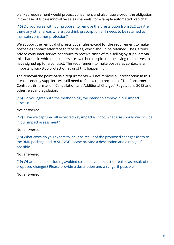blanket requirement would protect consumers and also future-proof the obligation in the case of future innovative sales channels, for example automated web chat.

**(15)** Do you agree with our proposal to remove the prescription from SLC 25? Are there any other areas where you think prescription still needs to be retained to maintain consumer protection?

We support the removal of prescriptive rules except for the requirement to make post-sales contact after face to face sales, which should be retained. The Citizens Advice consumer service continues to receive cases of mis-selling by suppliers via this channel in which consumers are switched despite not believing themselves to have signed up for a contract. The requirement to make post-sales contact is an important backstop protection against this happening.

The removal the point-of-sale requirements will not remove all prescription in this area, as energy suppliers will still need to follow requirements of The Consumer Contracts (Information, Cancellation and Additional Charges) Regulations 2013 and other relevant legislation.

**(16)** Do you agree with the methodology we intend to employ in our impact assessment?

Not answered.

**(17)** Have we captured all expected key impacts? If not, what else should we include in our impact assessment?

Not answered.

**(18)** What costs do you expect to incur as result of the proposed changes (both to the RMR package and to SLC 25)? Please provide a description and a range, if possible.

Not answered.

**(19)** What benefits (including avoided costs) do you expect to realise as result of the proposed changes? Please provide a description and a range, if possible.

Not answered.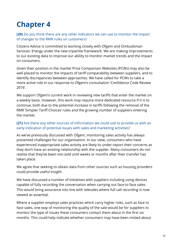### **Chapter 4**

**(20)** Do you think there are any other indicators we can use to monitor the impact of changes to the RMR rules on customers?

Citizens Advice is committed to working closely with Ofgem and Ombudsman Services: Energy under the new tripartite framework. We are making improvements to our existing data to improve our ability to monitor market trends and the impact on consumers.

Given their position in the market Price Comparison Websites (PCWs) may also be well placed to monitor the impacts of tariff comparability between suppliers, and to identify discrepancies between approaches. We have called for PCWs to take a more active role in our response to Ofgem's consultation 'Confidence Code Review 2016'.

We support Ofgem's current work in reviewing new tariffs that enter the market on a weekly basis. However, this work may require more dedicated resource if it is to continue, both due to the potential increase in tariffs following the removal of the RMR 'Simpler Tariff Choices' rules and the growing number of suppliers entering the market.

#### **(21)** Are there any other sources of information we could use to provide us with an early indication of potential issues with sales and marketing activities?

As we've previously discussed with Ofgem, monitoring sales activity has always presented challenges for our organisation. In our view, consumers who have experienced inappropriate sales activity are likely to under-report their concerns as they don't have an existing relationship with the supplier. Many consumers do not realise that they've been mis-sold until weeks or months after their transfer has taken place.

We agree that seeking to obtain data from other sources such as housing providers could provide useful insight.

We have discussed a number of initiatives with suppliers including using devices capable of fully recording the conversation when carrying out face to face sales. This would bring assurance into line with telesales where full call recording is now viewed as essential.

Where a supplier employs sales practices which carry higher risks, such as face to face sales, one way of monitoring the quality of the sale would be for suppliers to monitor the type of issues these consumers contact them about in the first six months. This could help indicate whether consumers may have been misled about